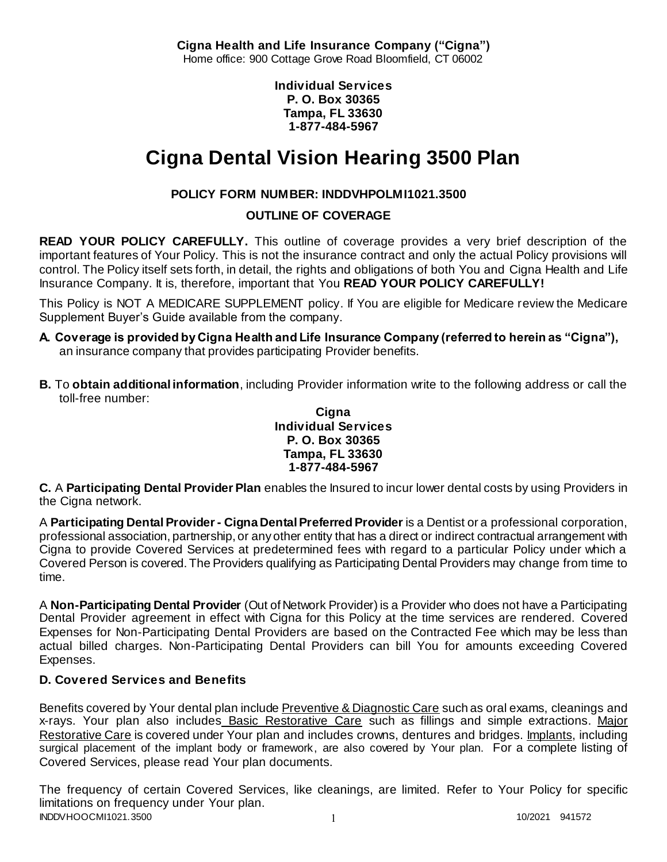**Cigna Health and Life Insurance Company ("Cigna")** Home office: 900 Cottage Grove Road Bloomfield, CT 06002

> **Individual Services P. O. Box 30365 Tampa, FL 33630 1-877-484-5967**

# **Cigna Dental Vision Hearing 3500 Plan**

# **POLICY FORM NUMBER: INDDVHPOLMI1021.3500**

**OUTLINE OF COVERAGE** 

**READ YOUR POLICY CAREFULLY.** This outline of coverage provides a very brief description of the important features of Your Policy. This is not the insurance contract and only the actual Policy provisions will control. The Policy itself sets forth, in detail, the rights and obligations of both You and Cigna Health and Life Insurance Company. It is, therefore, important that You **READ YOUR POLICY CAREFULLY!** 

This Policy is NOT A MEDICARE SUPPLEMENT policy. If You are eligible for Medicare review the Medicare Supplement Buyer's Guide available from the company.

- **A. Coverage is provided by Cigna Health and Life Insurance Company (referred to herein as "Cigna"),**  an insurance company that provides participating Provider benefits.
- **B.** To **obtain additional information**, including Provider information write to the following address or call the toll-free number:

**Cigna Individual Services P. O. Box 30365 Tampa, FL 33630 1-877-484-5967**

**C.** A **Participating Dental Provider Plan** enables the Insured to incur lower dental costs by using Providers in the Cigna network.

A **Participating Dental Provider - Cigna Dental Preferred Provider** is a Dentist or a professional corporation, professional association, partnership, or any other entity that has a direct or indirect contractual arrangement with Cigna to provide Covered Services at predetermined fees with regard to a particular Policy under which a Covered Person is covered. The Providers qualifying as Participating Dental Providers may change from time to time.

A **Non-Participating Dental Provider** (Out of Network Provider) is a Provider who does not have a Participating Dental Provider agreement in effect with Cigna for this Policy at the time services are rendered. Covered Expenses for Non-Participating Dental Providers are based on the Contracted Fee which may be less than actual billed charges. Non-Participating Dental Providers can bill You for amounts exceeding Covered Expenses.

# **D. Covered Services and Benefits**

Benefits covered by Your dental plan include Preventive & Diagnostic Care such as oral exams, cleanings and x-rays. Your plan also includes Basic Restorative Care such as fillings and simple extractions. Major Restorative Care is covered under Your plan and includes crowns, dentures and bridges. Implants, including surgical placement of the implant body or framework, are also covered by Your plan. For a complete listing of Covered Services, please read Your plan documents.

INDDVHOOCMI1021.3500 1 10/2021 941572 The frequency of certain Covered Services, like cleanings, are limited. Refer to Your Policy for specific limitations on frequency under Your plan.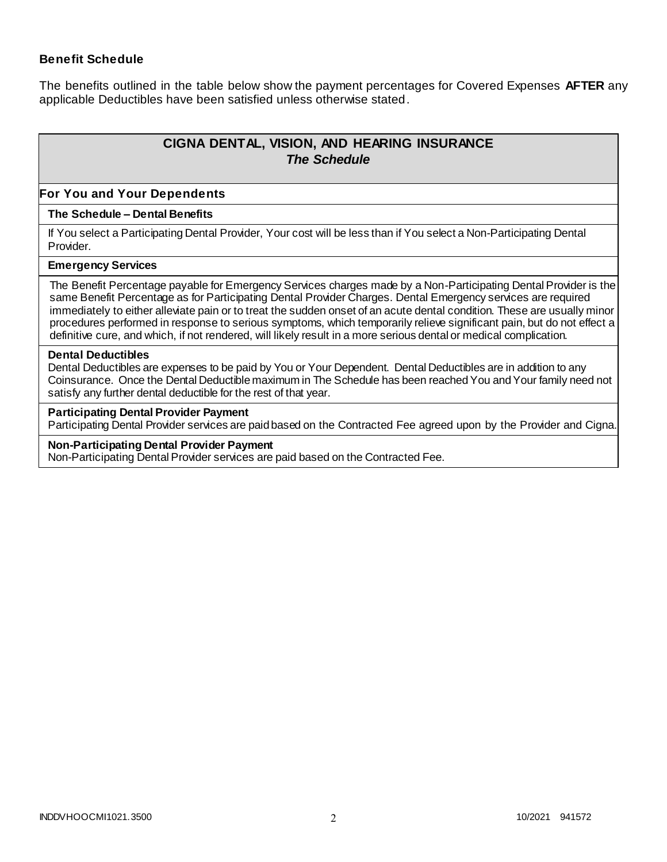## **Benefit Schedule**

The benefits outlined in the table below show the payment percentages for Covered Expenses **AFTER** any applicable Deductibles have been satisfied unless otherwise stated.

# **CIGNA DENTAL, VISION, AND HEARING INSURANCE** *The Schedule*

#### **For You and Your Dependents**

#### **The Schedule – Dental Benefits**

If You select a Participating Dental Provider, Your cost will be less than if You select a Non-Participating Dental Provider.

#### **Emergency Services**

The Benefit Percentage payable for Emergency Services charges made by a Non-Participating Dental Provider is the same Benefit Percentage as for Participating Dental Provider Charges. Dental Emergency services are required immediately to either alleviate pain or to treat the sudden onset of an acute dental condition. These are usually minor procedures performed in response to serious symptoms, which temporarily relieve significant pain, but do not effect a definitive cure, and which, if not rendered, will likely result in a more serious dental or medical complication.

#### **Dental Deductibles**

Dental Deductibles are expenses to be paid by You or Your Dependent. Dental Deductibles are in addition to any Coinsurance. Once the Dental Deductible maximum in The Schedule has been reached You and Your family need not satisfy any further dental deductible for the rest of that year.

#### **Participating Dental Provider Payment**

Participating Dental Provider services are paid based on the Contracted Fee agreed upon by the Provider and Cigna.

#### **Non-Participating Dental Provider Payment**

Non-Participating Dental Provider services are paid based on the Contracted Fee.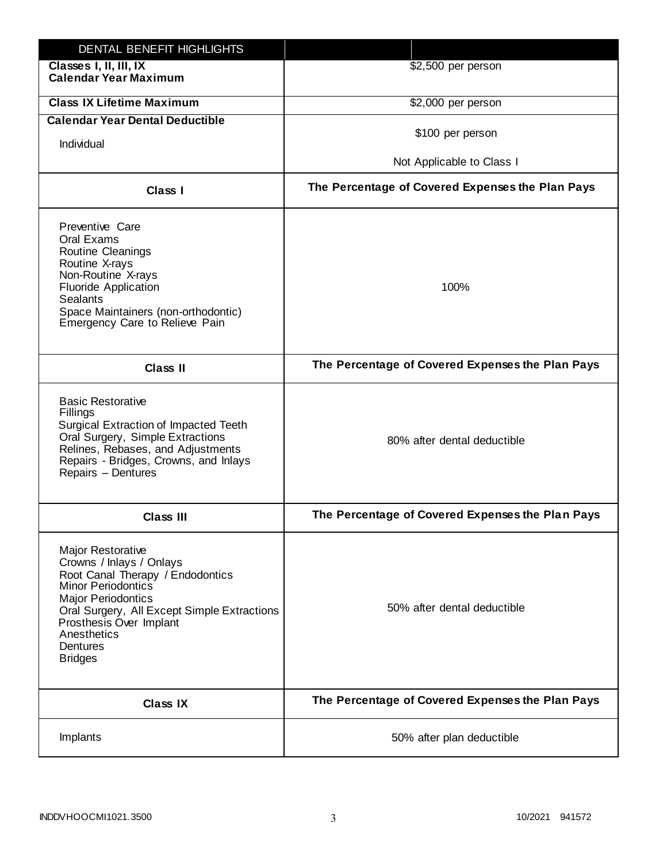| DENTAL BENEFIT HIGHLIGHTS                                                                                                                                                                                                                                                 |                                                  |
|---------------------------------------------------------------------------------------------------------------------------------------------------------------------------------------------------------------------------------------------------------------------------|--------------------------------------------------|
| Classes I, II, III, IX<br><b>Calendar Year Maximum</b>                                                                                                                                                                                                                    | \$2,500 per person                               |
| <b>Class IX Lifetime Maximum</b>                                                                                                                                                                                                                                          | \$2,000 per person                               |
| <b>Calendar Year Dental Deductible</b>                                                                                                                                                                                                                                    |                                                  |
| Individual                                                                                                                                                                                                                                                                | \$100 per person                                 |
|                                                                                                                                                                                                                                                                           | Not Applicable to Class I                        |
| Class I                                                                                                                                                                                                                                                                   | The Percentage of Covered Expenses the Plan Pays |
| Preventive Care<br>Oral Exams<br><b>Routine Cleanings</b><br>Routine X-rays<br>Non-Routine X-rays<br><b>Fluoride Application</b><br><b>Sealants</b><br>Space Maintainers (non-orthodontic)<br>Emergency Care to Relieve Pain                                              | 100%                                             |
| <b>Class II</b>                                                                                                                                                                                                                                                           | The Percentage of Covered Expenses the Plan Pays |
| <b>Basic Restorative</b><br>Fillings<br>Surgical Extraction of Impacted Teeth<br>Oral Surgery, Simple Extractions<br>Relines, Rebases, and Adjustments<br>Repairs - Bridges, Crowns, and Inlays<br>Repairs - Dentures                                                     | 80% after dental deductible                      |
| <b>Class III</b>                                                                                                                                                                                                                                                          | The Percentage of Covered Expenses the Plan Pays |
| <b>Major Restorative</b><br>Crowns / Inlays / Onlays<br>Root Canal Therapy / Endodontics<br><b>Minor Periodontics</b><br><b>Major Periodontics</b><br>Oral Surgery, All Except Simple Extractions<br>Prosthesis Over Implant<br>Anesthetics<br>Dentures<br><b>Bridges</b> | 50% after dental deductible                      |
| <b>Class IX</b>                                                                                                                                                                                                                                                           | The Percentage of Covered Expenses the Plan Pays |
| Implants                                                                                                                                                                                                                                                                  | 50% after plan deductible                        |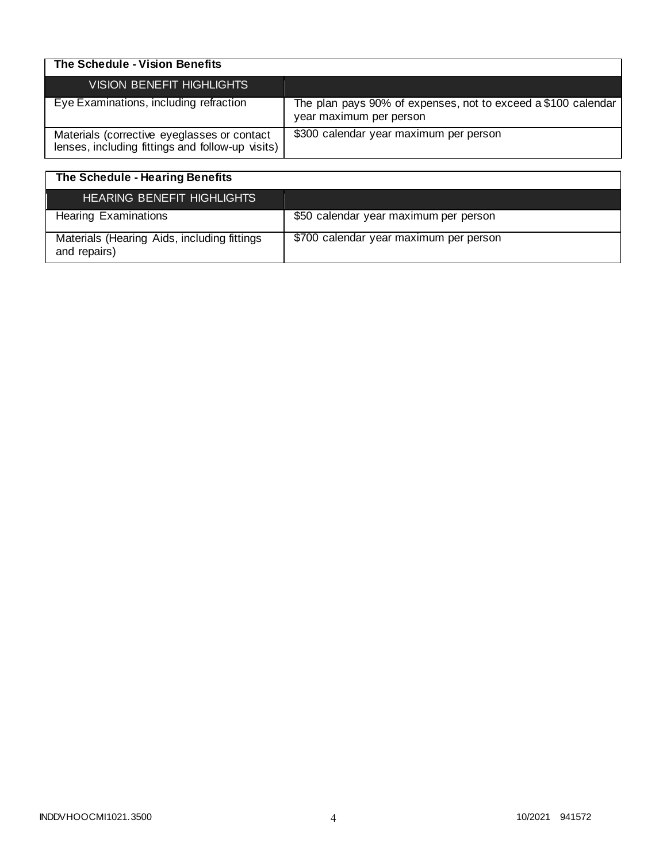| The Schedule - Vision Benefits                                                                  |                                                                                          |
|-------------------------------------------------------------------------------------------------|------------------------------------------------------------------------------------------|
| <b>VISION BENEFIT HIGHLIGHTS</b>                                                                |                                                                                          |
| Eye Examinations, including refraction                                                          | The plan pays 90% of expenses, not to exceed a \$100 calendar<br>year maximum per person |
| Materials (corrective eyeglasses or contact<br>lenses, including fittings and follow-up visits) | \$300 calendar year maximum per person                                                   |

| The Schedule - Hearing Benefits                             |                                        |
|-------------------------------------------------------------|----------------------------------------|
| HEARING BENEFIT HIGHLIGHTS                                  |                                        |
| <b>Hearing Examinations</b>                                 | \$50 calendar year maximum per person  |
| Materials (Hearing Aids, including fittings<br>and repairs) | \$700 calendar year maximum per person |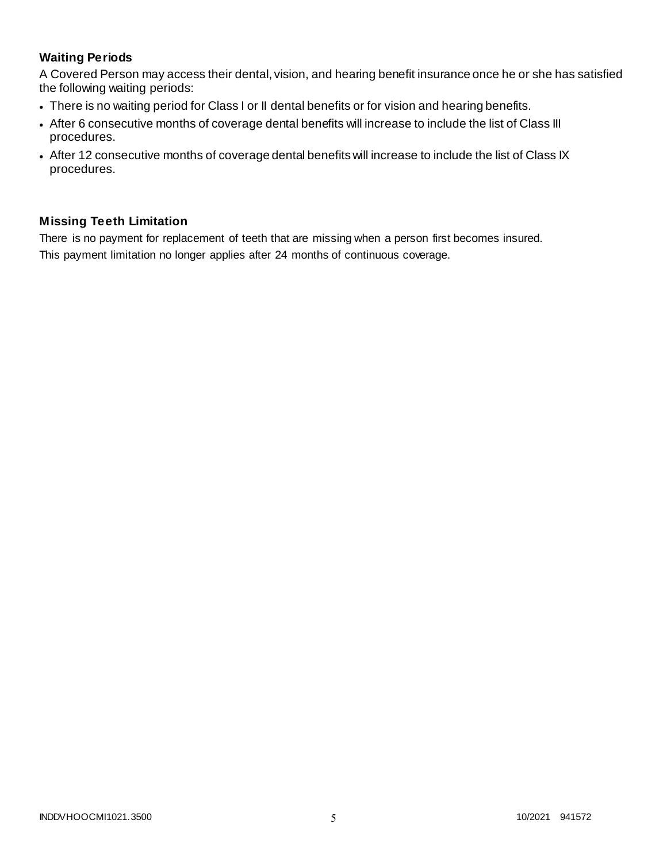# **Waiting Periods**

A Covered Person may access their dental, vision, and hearing benefit insurance once he or she has satisfied the following waiting periods:

- There is no waiting period for Class I or II dental benefits or for vision and hearing benefits.
- After 6 consecutive months of coverage dental benefits will increase to include the list of Class III procedures.
- After 12 consecutive months of coverage dental benefits will increase to include the list of Class IX procedures.

# **Missing Teeth Limitation**

There is no payment for replacement of teeth that are missing when a person first becomes insured. This payment limitation no longer applies after 24 months of continuous coverage.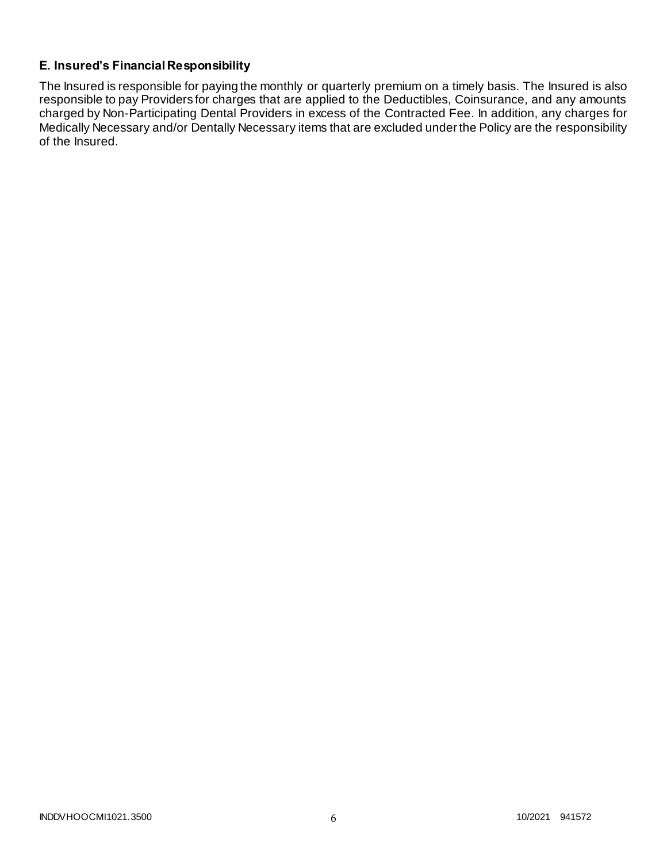# **E. Insured's Financial Responsibility**

The Insured is responsible for paying the monthly or quarterly premium on a timely basis. The Insured is also responsible to pay Providers for charges that are applied to the Deductibles, Coinsurance, and any amounts charged by Non-Participating Dental Providers in excess of the Contracted Fee. In addition, any charges for Medically Necessary and/or Dentally Necessary items that are excluded under the Policy are the responsibility of the Insured.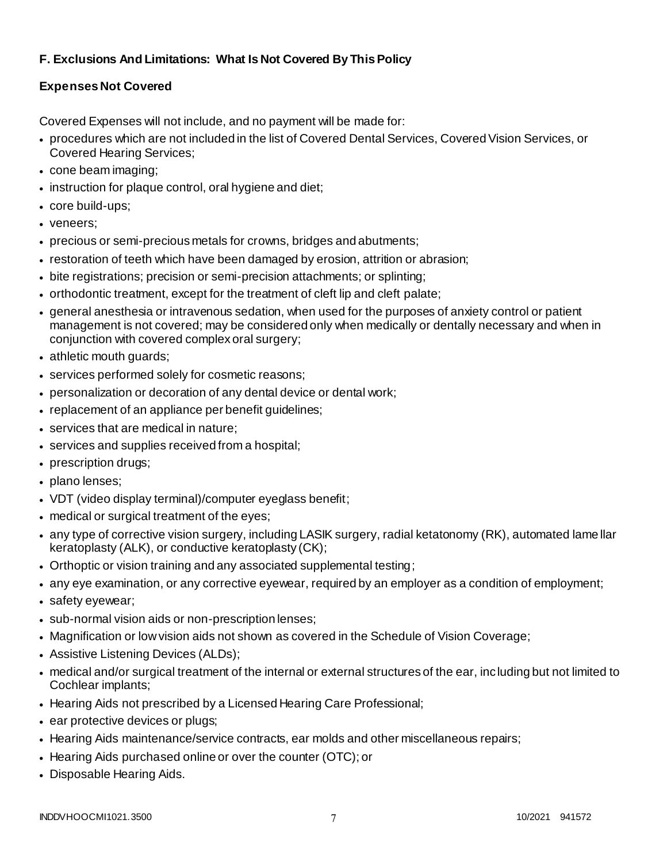# **F. Exclusions And Limitations: What Is Not Covered By This Policy**

# **Expenses Not Covered**

Covered Expenses will not include, and no payment will be made for:

- procedures which are not included in the list of Covered Dental Services, Covered Vision Services, or Covered Hearing Services;
- cone beam imaging;
- instruction for plaque control, oral hygiene and diet;
- core build-ups;
- veneers;
- precious or semi-precious metals for crowns, bridges and abutments;
- restoration of teeth which have been damaged by erosion, attrition or abrasion;
- bite registrations; precision or semi-precision attachments; or splinting;
- orthodontic treatment, except for the treatment of cleft lip and cleft palate;
- general anesthesia or intravenous sedation, when used for the purposes of anxiety control or patient management is not covered; may be considered only when medically or dentally necessary and when in conjunction with covered complex oral surgery;
- athletic mouth guards;
- services performed solely for cosmetic reasons;
- personalization or decoration of any dental device or dental work;
- replacement of an appliance per benefit guidelines;
- services that are medical in nature;
- services and supplies received from a hospital;
- prescription drugs;
- plano lenses;
- VDT (video display terminal)/computer eyeglass benefit;
- medical or surgical treatment of the eyes;
- any type of corrective vision surgery, including LASIK surgery, radial ketatonomy (RK), automated lame llar keratoplasty (ALK), or conductive keratoplasty (CK);
- Orthoptic or vision training and any associated supplemental testing;
- any eye examination, or any corrective eyewear, required by an employer as a condition of employment;
- safety eyewear;
- sub-normal vision aids or non-prescription lenses;
- Magnification or low vision aids not shown as covered in the Schedule of Vision Coverage;
- Assistive Listening Devices (ALDs);
- medical and/or surgical treatment of the internal or external structures of the ear, including but not limited to Cochlear implants;
- Hearing Aids not prescribed by a Licensed Hearing Care Professional;
- ear protective devices or plugs;
- Hearing Aids maintenance/service contracts, ear molds and other miscellaneous repairs;
- Hearing Aids purchased online or over the counter (OTC); or
- Disposable Hearing Aids.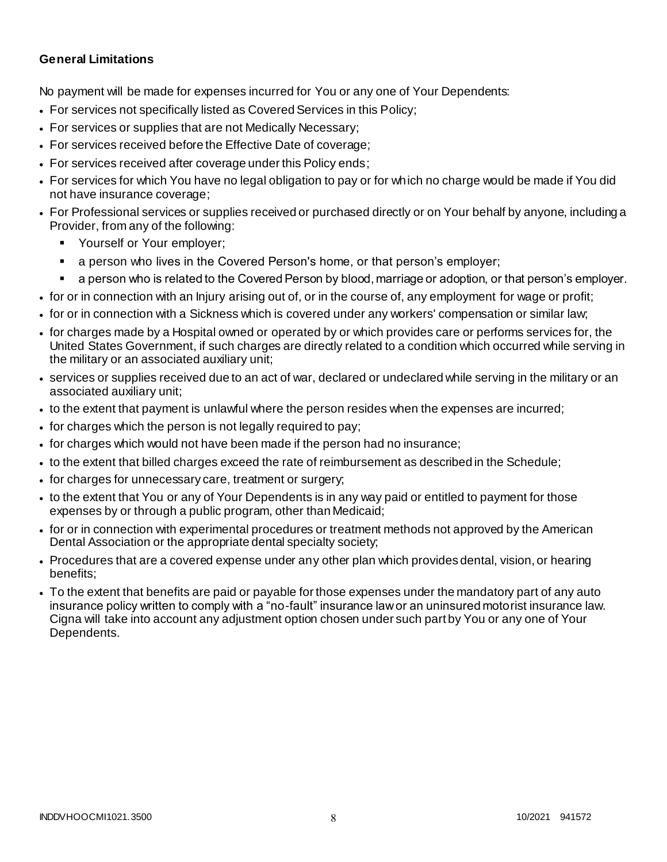## **General Limitations**

No payment will be made for expenses incurred for You or any one of Your Dependents:

- For services not specifically listed as Covered Services in this Policy;
- For services or supplies that are not Medically Necessary;
- For services received before the Effective Date of coverage;
- For services received after coverage under this Policy ends;
- For services for which You have no legal obligation to pay or for which no charge would be made if You did not have insurance coverage;
- For Professional services or supplies received or purchased directly or on Your behalf by anyone, including a Provider, from any of the following:
	- Yourself or Your employer;
	- a person who lives in the Covered Person's home, or that person's employer;
	- a person who is related to the Covered Person by blood, marriage or adoption, or that person's employer.
- for or in connection with an Injury arising out of, or in the course of, any employment for wage or profit;
- for or in connection with a Sickness which is covered under any workers' compensation or similar law;
- for charges made by a Hospital owned or operated by or which provides care or performs services for, the United States Government, if such charges are directly related to a condition which occurred while serving in the military or an associated auxiliary unit;
- services or supplies received due to an act of war, declared or undeclared while serving in the military or an associated auxiliary unit;
- to the extent that payment is unlawful where the person resides when the expenses are incurred;
- for charges which the person is not legally required to pay;
- for charges which would not have been made if the person had no insurance;
- to the extent that billed charges exceed the rate of reimbursement as described in the Schedule;
- for charges for unnecessary care, treatment or surgery;
- to the extent that You or any of Your Dependents is in any way paid or entitled to payment for those expenses by or through a public program, other than Medicaid;
- for or in connection with experimental procedures or treatment methods not approved by the American Dental Association or the appropriate dental specialty society;
- Procedures that are a covered expense under any other plan which provides dental, vision, or hearing benefits;
- To the extent that benefits are paid or payable for those expenses under the mandatory part of any auto insurance policy written to comply with a "no-fault" insurance law or an uninsured motorist insurance law. Cigna will take into account any adjustment option chosen under such part by You or any one of Your Dependents.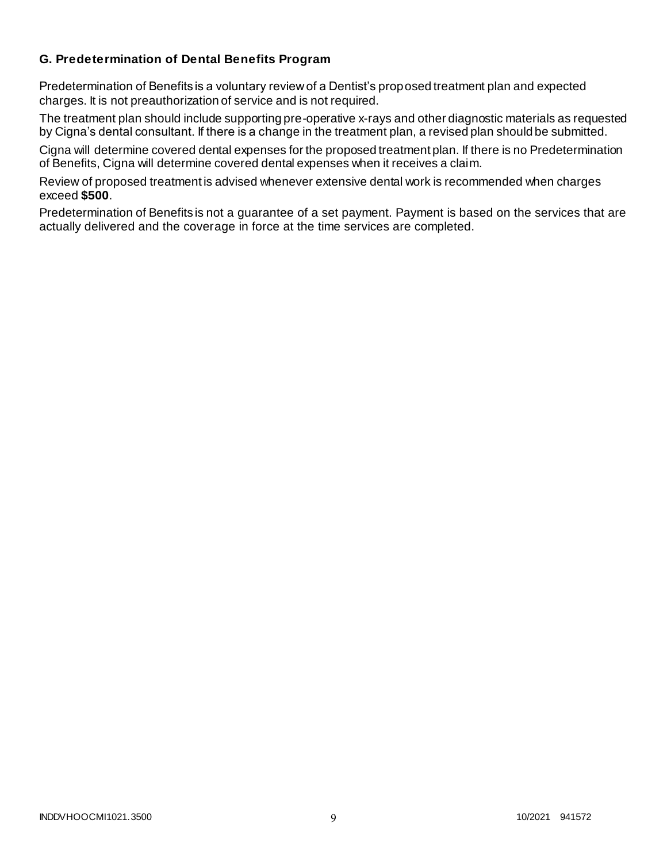## **G. Predetermination of Dental Benefits Program**

Predetermination of Benefits is a voluntary review of a Dentist's proposed treatment plan and expected charges. It is not preauthorization of service and is not required.

The treatment plan should include supporting pre-operative x-rays and other diagnostic materials as requested by Cigna's dental consultant. If there is a change in the treatment plan, a revised plan should be submitted.

Cigna will determine covered dental expenses for the proposed treatment plan. If there is no Predetermination of Benefits, Cigna will determine covered dental expenses when it receives a claim.

Review of proposed treatment is advised whenever extensive dental work is recommended when charges exceed **\$500**.

Predetermination of Benefits is not a guarantee of a set payment. Payment is based on the services that are actually delivered and the coverage in force at the time services are completed.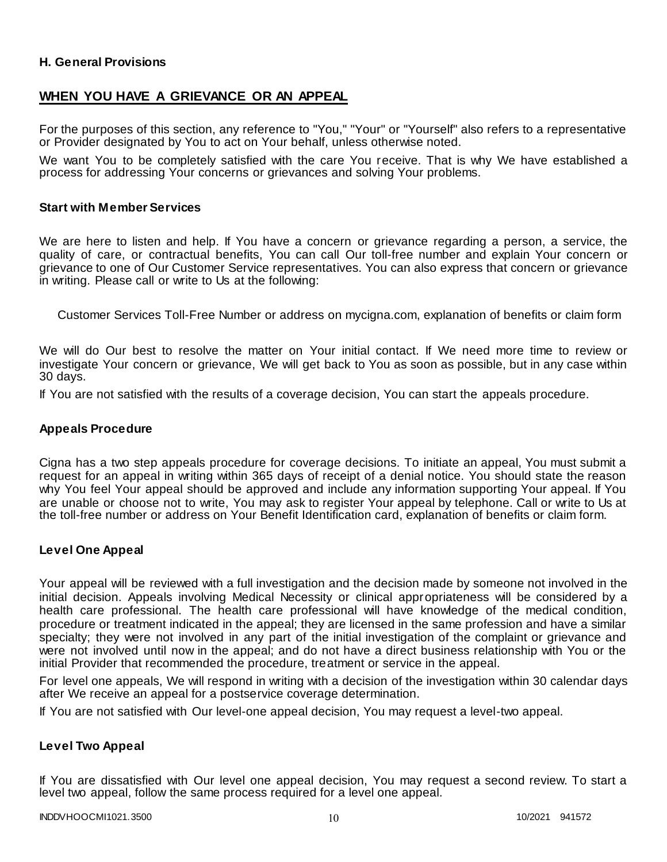## **H. General Provisions**

## **WHEN YOU HAVE A GRIEVANCE OR AN APPEAL**

For the purposes of this section, any reference to "You," "Your" or "Yourself" also refers to a representative or Provider designated by You to act on Your behalf, unless otherwise noted.

We want You to be completely satisfied with the care You receive. That is why We have established a process for addressing Your concerns or grievances and solving Your problems.

#### **Start with Member Services**

We are here to listen and help. If You have a concern or grievance regarding a person, a service, the quality of care, or contractual benefits, You can call Our toll-free number and explain Your concern or grievance to one of Our Customer Service representatives. You can also express that concern or grievance in writing. Please call or write to Us at the following:

Customer Services Toll-Free Number or address on mycigna.com, explanation of benefits or claim form

We will do Our best to resolve the matter on Your initial contact. If We need more time to review or investigate Your concern or grievance, We will get back to You as soon as possible, but in any case within 30 days.

If You are not satisfied with the results of a coverage decision, You can start the appeals procedure.

#### **Appeals Procedure**

Cigna has a two step appeals procedure for coverage decisions. To initiate an appeal, You must submit a request for an appeal in writing within 365 days of receipt of a denial notice. You should state the reason why You feel Your appeal should be approved and include any information supporting Your appeal. If You are unable or choose not to write, You may ask to register Your appeal by telephone. Call or write to Us at the toll-free number or address on Your Benefit Identification card, explanation of benefits or claim form.

## **Level One Appeal**

Your appeal will be reviewed with a full investigation and the decision made by someone not involved in the initial decision. Appeals involving Medical Necessity or clinical appropriateness will be considered by a health care professional. The health care professional will have knowledge of the medical condition, procedure or treatment indicated in the appeal; they are licensed in the same profession and have a similar specialty; they were not involved in any part of the initial investigation of the complaint or grievance and were not involved until now in the appeal; and do not have a direct business relationship with You or the initial Provider that recommended the procedure, treatment or service in the appeal.

For level one appeals, We will respond in writing with a decision of the investigation within 30 calendar days after We receive an appeal for a postservice coverage determination.

If You are not satisfied with Our level-one appeal decision, You may request a level-two appeal.

## **Level Two Appeal**

If You are dissatisfied with Our level one appeal decision, You may request a second review. To start a level two appeal, follow the same process required for a level one appeal.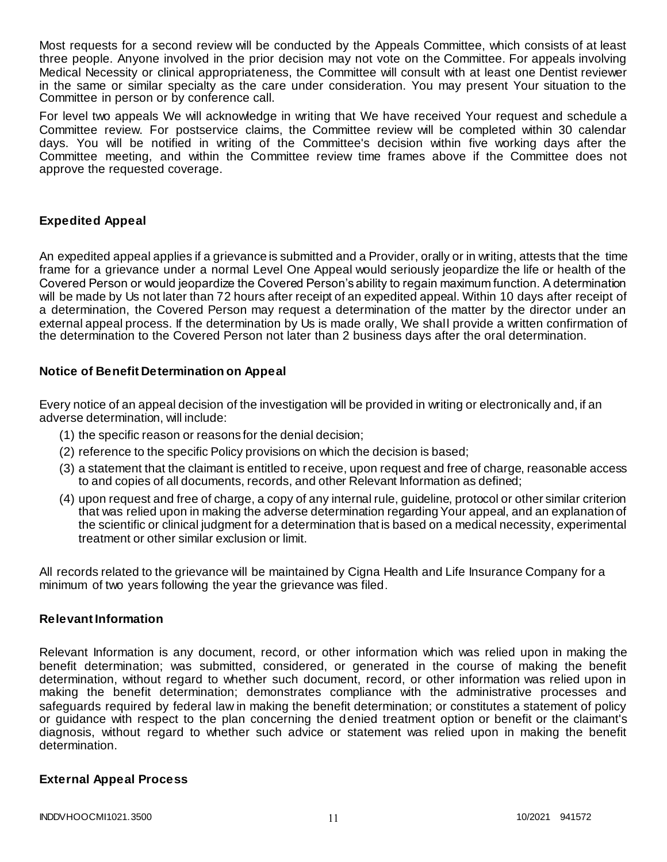Most requests for a second review will be conducted by the Appeals Committee, which consists of at least three people. Anyone involved in the prior decision may not vote on the Committee. For appeals involving Medical Necessity or clinical appropriateness, the Committee will consult with at least one Dentist reviewer in the same or similar specialty as the care under consideration. You may present Your situation to the Committee in person or by conference call.

For level two appeals We will acknowledge in writing that We have received Your request and schedule a Committee review. For postservice claims, the Committee review will be completed within 30 calendar days. You will be notified in writing of the Committee's decision within five working days after the Committee meeting, and within the Committee review time frames above if the Committee does not approve the requested coverage.

## **Expedited Appeal**

An expedited appeal applies if a grievance is submitted and a Provider, orally or in writing, attests that the time frame for a grievance under a normal Level One Appeal would seriously jeopardize the life or health of the Covered Person or would jeopardize the Covered Person's ability to regain maximum function. A determination will be made by Us not later than 72 hours after receipt of an expedited appeal. Within 10 days after receipt of a determination, the Covered Person may request a determination of the matter by the director under an external appeal process. If the determination by Us is made orally, We shall provide a written confirmation of the determination to the Covered Person not later than 2 business days after the oral determination.

## **Notice of Benefit Determination on Appeal**

Every notice of an appeal decision of the investigation will be provided in writing or electronically and, if an adverse determination, will include:

- (1) the specific reason or reasons for the denial decision;
- (2) reference to the specific Policy provisions on which the decision is based;
- (3) a statement that the claimant is entitled to receive, upon request and free of charge, reasonable access to and copies of all documents, records, and other Relevant Information as defined;
- (4) upon request and free of charge, a copy of any internal rule, guideline, protocol or other similar criterion that was relied upon in making the adverse determination regarding Your appeal, and an explanation of the scientific or clinical judgment for a determination that is based on a medical necessity, experimental treatment or other similar exclusion or limit.

All records related to the grievance will be maintained by Cigna Health and Life Insurance Company for a minimum of two years following the year the grievance was filed.

## **Relevant Information**

Relevant Information is any document, record, or other information which was relied upon in making the benefit determination; was submitted, considered, or generated in the course of making the benefit determination, without regard to whether such document, record, or other information was relied upon in making the benefit determination; demonstrates compliance with the administrative processes and safeguards required by federal law in making the benefit determination; or constitutes a statement of policy or guidance with respect to the plan concerning the denied treatment option or benefit or the claimant's diagnosis, without regard to whether such advice or statement was relied upon in making the benefit determination.

## **External Appeal Process**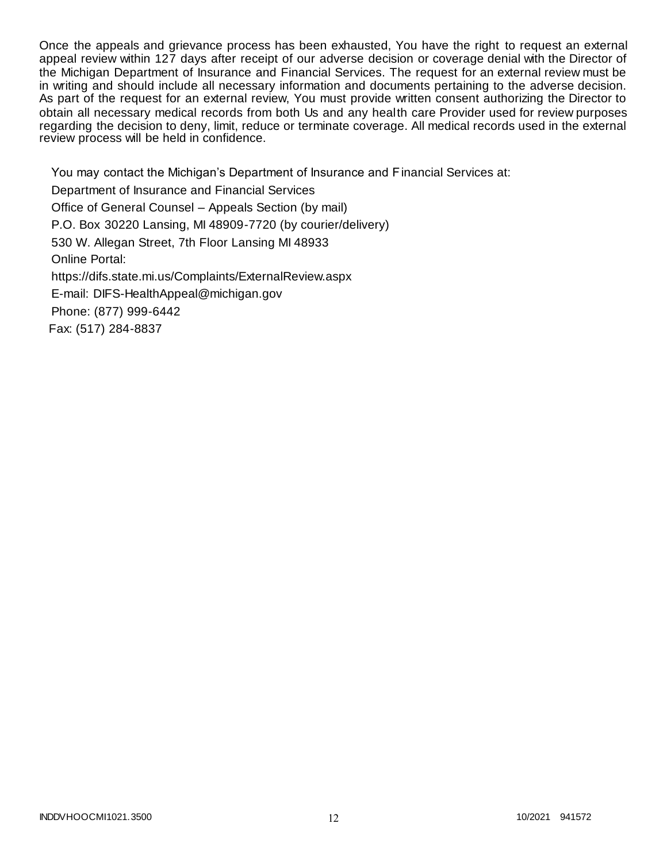Once the appeals and grievance process has been exhausted, You have the right to request an external appeal review within 127 days after receipt of our adverse decision or coverage denial with the Director of the Michigan Department of Insurance and Financial Services. The request for an external review must be in writing and should include all necessary information and documents pertaining to the adverse decision. As part of the request for an external review, You must provide written consent authorizing the Director to obtain all necessary medical records from both Us and any health care Provider used for review purposes regarding the decision to deny, limit, reduce or terminate coverage. All medical records used in the external review process will be held in confidence.

You may contact the Michigan's Department of Insurance and Financial Services at: Department of Insurance and Financial Services Office of General Counsel – Appeals Section (by mail) P.O. Box 30220 Lansing, MI 48909-7720 (by courier/delivery) 530 W. Allegan Street, 7th Floor Lansing MI 48933 Online Portal: https://difs.state.mi.us/Complaints/ExternalReview.aspx E-mail: DIFS-HealthAppeal@michigan.gov Phone: (877) 999-6442 Fax: (517) 284-8837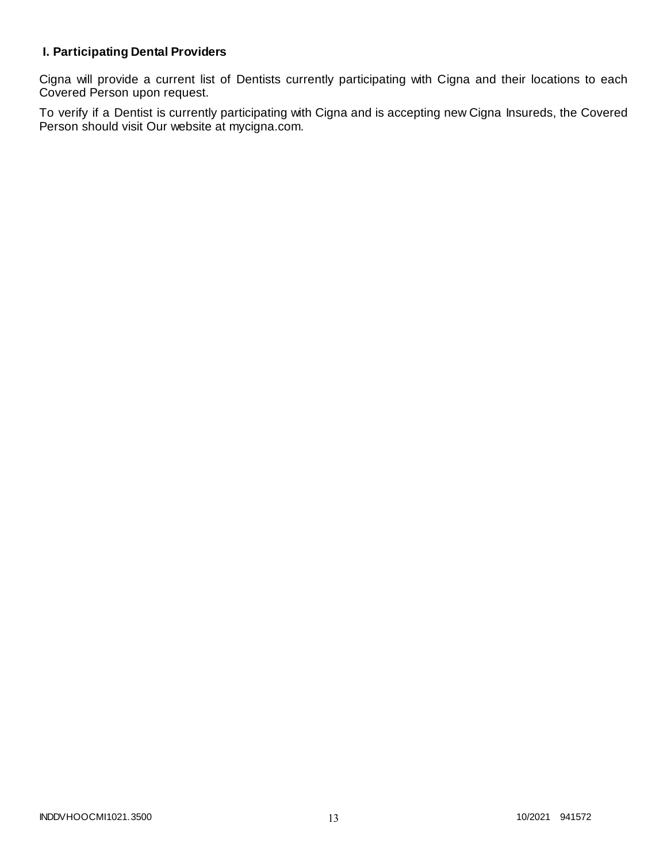# **I. Participating Dental Providers**

Cigna will provide a current list of Dentists currently participating with Cigna and their locations to each Covered Person upon request.

To verify if a Dentist is currently participating with Cigna and is accepting new Cigna Insureds, the Covered Person should visit Our website at mycigna.com.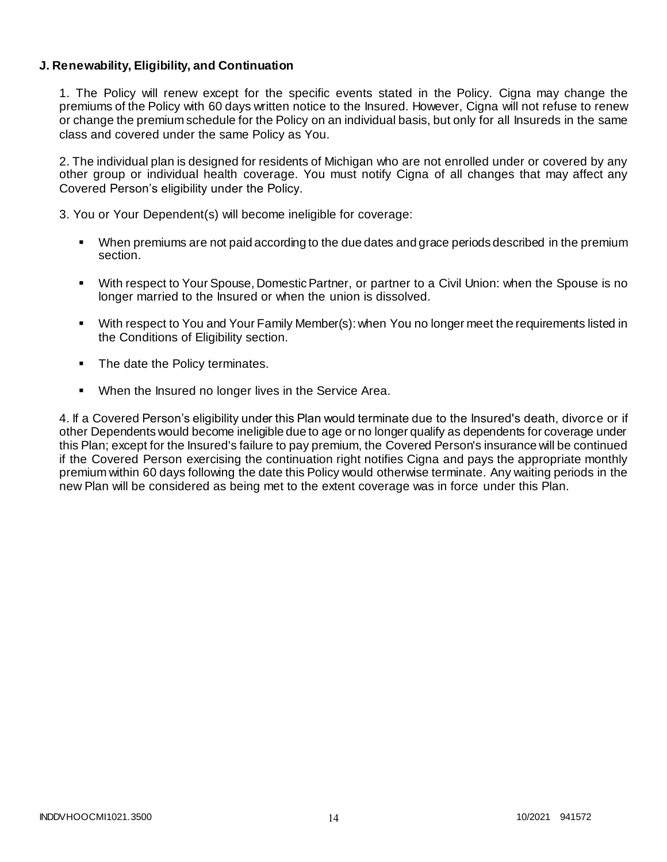## **J. Renewability, Eligibility, and Continuation**

1. The Policy will renew except for the specific events stated in the Policy. Cigna may change the premiums of the Policy with 60 days written notice to the Insured. However, Cigna will not refuse to renew or change the premium schedule for the Policy on an individual basis, but only for all Insureds in the same class and covered under the same Policy as You.

2. The individual plan is designed for residents of Michigan who are not enrolled under or covered by any other group or individual health coverage. You must notify Cigna of all changes that may affect any Covered Person's eligibility under the Policy.

3. You or Your Dependent(s) will become ineligible for coverage:

- When premiums are not paid according to the due dates and grace periods described in the premium section.
- With respect to Your Spouse, Domestic Partner, or partner to a Civil Union: when the Spouse is no longer married to the Insured or when the union is dissolved.
- With respect to You and Your Family Member(s): when You no longer meet the requirements listed in the Conditions of Eligibility section.
- The date the Policy terminates.
- When the Insured no longer lives in the Service Area.

4. If a Covered Person's eligibility under this Plan would terminate due to the Insured's death, divorce or if other Dependents would become ineligible due to age or no longer qualify as dependents for coverage under this Plan; except for the Insured's failure to pay premium, the Covered Person's insurance will be continued if the Covered Person exercising the continuation right notifies Cigna and pays the appropriate monthly premium within 60 days following the date this Policy would otherwise terminate. Any waiting periods in the new Plan will be considered as being met to the extent coverage was in force under this Plan.